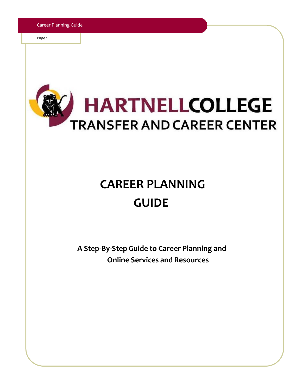Career Planning Guide



# **CAREER PLANNING GUIDE**

**A Step-By-StepGuide to Career Planning and Online Services and Resources**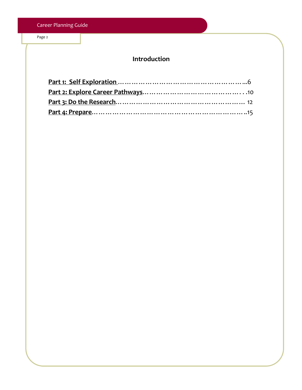## **Introduction**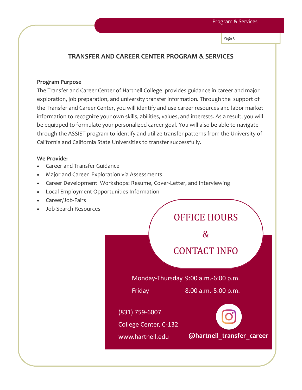## **TRANSFER AND CAREER CENTER PROGRAM & SERVICES**

#### **Program Purpose**

The Transfer and Career Center of Hartnell College provides guidance in career and major exploration, job preparation, and university transfer information. Through the support of the Transfer and Career Center, you will identify and use career resources and labor market information to recognize your own skills, abilities, values, and interests. As a result, you will be equipped to formulate your personalized career goal. You will also be able to navigate through the ASSIST program to identify and utilize transfer patterns from the University of California and California State Universities to transfer successfully.

#### **We Provide:**

- Career and Transfer Guidance
- Major and Career Exploration via Assessments
- Career Development Workshops: Resume, Cover-Letter, and Interviewing
- Local Employment Opportunities Information
- Career/Job-Fairs
- Job-Search Resources

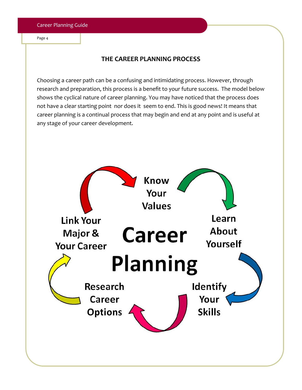## **THE CAREER PLANNING PROCESS**

Choosing a career path can be a confusing and intimidating process. However, through research and preparation, this process is a benefit to your future success. The model below shows the cyclical nature of career planning. You may have noticed that the process does not have a clear starting point nor does it seem to end. This is good news! It means that career planning is a continual process that may begin and end at any point and is useful at any stage of your career development.

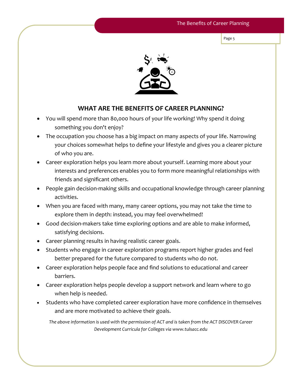

## **WHAT ARE THE BENEFITS OF CAREER PLANNING?**

- You will spend more than 80,000 hours of your life working! Why spend it doing something you don't enjoy?
- The occupation you choose has a big impact on many aspects of your life. Narrowing your choices somewhat helps to define your lifestyle and gives you a clearer picture of who you are.
- Career exploration helps you learn more about yourself. Learning more about your interests and preferences enables you to form more meaningful relationships with friends and significant others.
- People gain decision-making skills and occupational knowledge through career planning activities.
- When you are faced with many, many career options, you may not take the time to explore them in depth: instead, you may feel overwhelmed!
- Good decision-makers take time exploring options and are able to make informed, satisfying decisions.
- Career planning results in having realistic career goals.
- Students who engage in career exploration programs report higher grades and feel better prepared for the future compared to students who do not.
- Career exploration helps people face and find solutions to educational and career barriers.
- Career exploration helps people develop a support network and learn where to go when help is needed.
- Students who have completed career exploration have more confidence in themselves and are more motivated to achieve their goals.

*The above information is used with the permission of ACT and is taken from the ACT DISCOVER Career Development Curricula for Colleges via www.tulsacc.edu*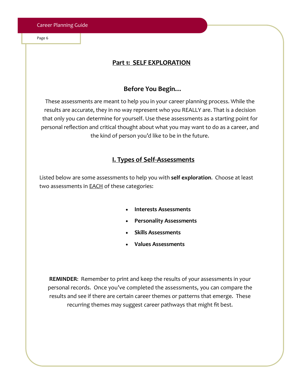Career Planning Guide

Page 6

## **Part 1: SELF EXPLORATION**

## **Before You Begin…**

These assessments are meant to help you in your career planning process. While the results are accurate, they in no way represent who you REALLY are. That is a decision that only you can determine for yourself. Use these assessments as a starting point for personal reflection and critical thought about what you may want to do as a career, and the kind of person you'd like to be in the future.

## **I. Types of Self-Assessments**

Listed below are some assessments to help you with **self exploration**. Choose at least two assessments in **EACH** of these categories:

- **Interests Assessments**
- **Personality Assessments**
- **Skills Assessments**
- **Values Assessments**

**REMINDER**: Remember to print and keep the results of your assessments in your personal records. Once you've completed the assessments, you can compare the results and see if there are certain career themes or patterns that emerge. These recurring themes may suggest career pathways that might fit best.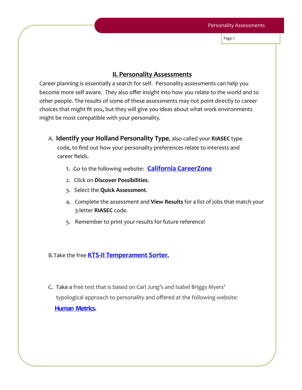## **II. Personality Assessments**

Career planning is essentially a search for self. Personality assessments can help you become more self aware. They also offer insight into how you relate to the world and to other people. The results of some of these assessments may not point directly to career choices that might fit you, but they will give you ideas about what work environments might be most compatible with your personality.

- A. **Identify your Holland Personality Type**, also called your **RIASEC** type code, to find out how your personality preferences relate to interests and career fields.
	- 1. Go to the following website: **[California CareerZone](http://www.cacareerzone.org)**
	- 2. Click on **Discover Possibilities**.
	- 3. Select the **Quick Assessment**.
	- 4. Complete the assessment and **View Results** for a list of jobs that match your 3-letter **RIASEC** code.
	- 5. Remember to print your results for future reference!

B. Take the free **KTS-[II Temperament Sorter.](https://profile.keirsey.com/#/b2c/assessment/start)**

C. Take a free test that is based on Carl Jung's and Isabel Briggs Myers' typological approach to personality and offered at the following website: **[Human Metrics.](http://www.humanmetrics.com/cgi-win/jtypes2.asp)**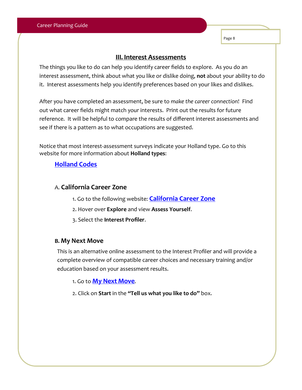## **III. Interest Assessments**

Page 8

The things you like to do can help you identify career fields to explore. As you do an interest assessment, think about what you like or dislike doing, **not** about your ability to do it. Interest assessments help you identify preferences based on your likes and dislikes.

After you have completed an assessment, be sure to *make the career connection*! Find out what career fields might match your interests. Print out the results for future reference. It will be helpful to compare the results of different interest assessments and see if there is a pattern as to what occupations are suggested.

Notice that most interest-assessment surveys indicate your Holland type. Go to this website for more information about **Holland types**:

## **[Holland Codes](http://www.roguecc.edu/counseling/hollandcodes/about.asp)**

## A. **California Career Zone**

- 1. Go to the following website: **[California Career Zone](http://www.cacareerzone.org/)**
- 2. Hover over **Explore** and view **Assess Yourself**.
- 3. Select the **Interest Profiler**.

### **B. My Next Move**

This is an alternative online assessment to the Interest Profiler and will provide a complete overview of compatible career choices and necessary training and/or education based on your assessment results.

### 1. Go to **My [Next Move](http://www.mynextmove.org/)**.

2. Click on **Start** in the **"Tell us what you like to do"** box.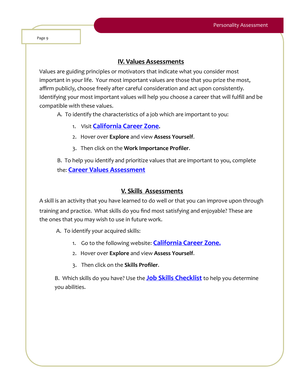## **IV. Values Assessments**

Values are guiding principles or motivators that indicate what you consider most important in your life. Your most important values are those that you prize the most, affirm publicly, choose freely after careful consideration and act upon consistently. Identifying your most important values will help you choose a career that will fulfill and be compatible with these values.

A. To identify the characteristics of a job which are important to you:

- 1. Visit **[California Career Zone](http://www.cacareerzone.org/).**
- 2. Hover over **Explore** and view **Assess Yourself**.
- 3. Then click on the **Work Importance Profiler**.

B. To help you identify and prioritize values that are important to you, complete the: **[Career Values Assessment](https://cdc-tree.stanford.edu/steps/readiness/values)**

## **V. Skills Assessments**

A skill is an activity that you have learned to do well or that you can improve upon through training and practice. What skills do you find most satisfying and enjoyable? These are the ones that you may wish to use in future work.

A. To identify your acquired skills:

- 1. Go to the following website: **[California Career Zone.](http://www.cacareerzone.org/)**
- 2. Hover over **Explore** and view **Assess Yourself**.
- 3. Then click on the **Skills Profiler**.

B. Which skills do you have? Use the **[Job Skills Checklist](https://owl.purdue.edu/owl/job_search_writing/preparing_an_application/job_skills_checklist.html)** to help you determine you abilities.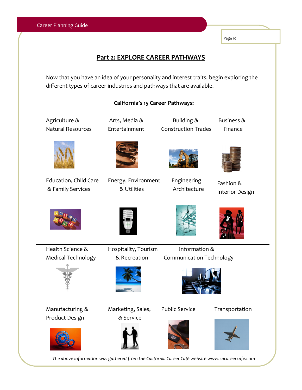## **Part 2: EXPLORE CAREER PATHWAYS**

Page 10

Now that you have an idea of your personality and interest traits, begin exploring the different types of career industries and pathways that are available.

## **California's 15 Career Pathways:**

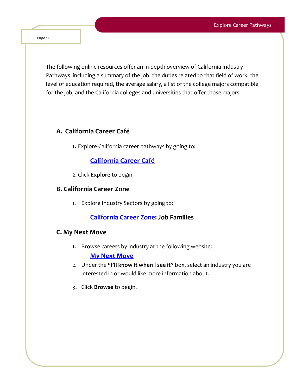The following online resources offer an in-depth overview of California Industry Pathways including a summary of the job, the duties related to that field of work, the level of education required, the average salary, a list of the college majors compatible for the job, and the California colleges and universities that offer those majors.

## **A. California Career Café**

**1.** Explore California career pathways by going to:

## **[California Career Café](http://www.cacareercafe.com/)**

2. Click **Explore** to begin

## **B. California Career Zone**

1. Explore Industry Sectors by going to:

## **[California Career Zone:](http://www.cacareerzone.org/clusters) Job Families**

## **C. My Next Move**

- **1.** Browse careers by industry at the following website: **[My Next Move](http://www.mynextmove.org/)**
- 2. Under the **"I'll know it when I see it"** box, select an industry you are interested in or would like more information about.
- 3. Click **Browse** to begin.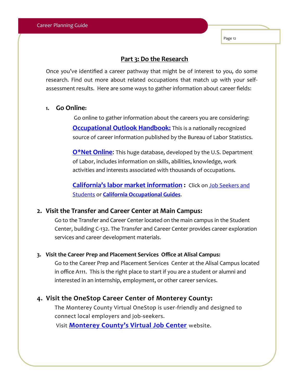## **Part 3: Do the Research**

Once you've identified a career pathway that might be of interest to you, do some research. Find out more about related occupations that match up with your selfassessment results. Here are some ways to gather information about career fields:

## **1. Go Online:**

Go online to gather information about the careers you are considering: **[Occupational Outlook Handbook:](http://www.bls.gov/ooh/)** This is a nationally recognized source of career information published by the Bureau of Labor Statistics.

**[O\\*Net Online](http://www.onetonline.org/):** This huge database, developed by the U.S. Department of Labor, includes information on skills, abilities, knowledge, work activities and interests associated with thousands of occupations.

**California's labor [market information](http://www.labormarketinfo.edd.ca.gov/) :** Click on [Job Seekers and](https://www.labormarketinfo.edd.ca.gov/customers/job-seekers.html)  [Students](https://www.labormarketinfo.edd.ca.gov/customers/job-seekers.html) or **[California Occupational Guides](http://www.labormarketinfo.edd.ca.gov/OccGuides/)**.

## **2. Visit the Transfer and Career Center at Main Campus:**

Go to the Transfer and Career Center located on the main campus in the Student Center, building C-132. The Transfer and Career Center provides career exploration services and career development materials.

### **3. Visit the Career Prep and Placement Services Office at Alisal Campus:**

Go to the Career Prep and Placement Services Center at the Alisal Campus located in office A111. This is the right place to start if you are a student or alumni and interested in an internship, employment, or other career services.

## **4. Visit the OneStop Career Center of Monterey County:**

The Monterey County Virtual OneStop is user-friendly and designed to connect local employers and job-seekers.

Visit **[Monterey County's Virtual Job Center](https://www.caljobs.ca.gov/vosnet/Default.aspx)** website.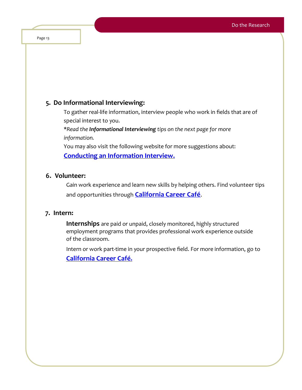## **5. Do Informational Interviewing:**

To gather real-life information, interview people who work in fields that are of special interest to you.

\**Read the Informational Interviewing tips on the next page for more information.*

You may also visit the following website for more suggestions about:

**Conducting an [Information Interview.](https://www.glassdoor.com/blog/ultimate-guide-informational-interviews/)**

## **6. Volunteer:**

Gain work experience and learn new skills by helping others. Find volunteer tips and opportunities through **[California Career Café](http://www.cacareercafe.com/experience/volunteer/)**.

### **7. Intern:**

**Internships** are paid or unpaid, closely monitored, highly structured employment programs that provides professional work experience outside of the classroom.

Intern or work part-time in your prospective field. For more information, go to **[California Career Café.](http://www.cacareercafe.com/experience/internships/)**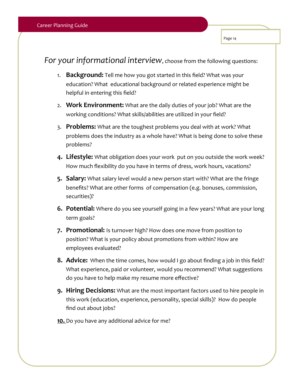*For your informational interview*, choose from the following questions:

- 1. **Background:** Tell me how you got started in this field? What was your education? What educational background or related experience might be helpful in entering this field?
- 2. **Work Environment:** What are the daily duties of your job? What are the working conditions? What skills/abilities are utilized in your field?
- 3. **Problems:** What are the toughest problems you deal with at work? What problems does the industry as a whole have? What is being done to solve these problems?
- **4. Lifestyle:** What obligation does your work put on you outside the work week? How much flexibility do you have in terms of dress, work hours, vacations?
- **5. Salary:** What salary level would a new person start with? What are the fringe benefits? What are other forms of compensation (e.g. bonuses, commission, securities)?
- **6. Potential:** Where do you see yourself going in a few years? What are your long term goals?
- **7. Promotional:** Is turnover high? How does one move from position to position? What is your policy about promotions from within? How are employees evaluated?
- **8. Advice:** When the time comes, how would I go about finding a job in this field? What experience, paid or volunteer, would you recommend? What suggestions do you have to help make my resume more effective?
- **9. Hiring Decisions:** What are the most important factors used to hire people in this work (education, experience, personality, special skills)? How do people find out about jobs?
- **10.** Do you have any additional advice for me?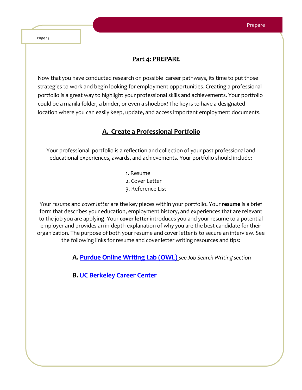## **Part 4: PREPARE**

Now that you have conducted research on possible career pathways, its time to put those strategies to work and begin looking for employment opportunities. Creating a professional portfolio is a great way to highlight your professional skills and achievements. Your portfolio could be a manila folder, a binder, or even a shoebox! The key is to have a designated location where you can easily keep, update, and access important employment documents.

## **A. Create a Professional Portfolio**

Your professional portfolio is a reflection and collection of your past professional and educational experiences, awards, and achievements. Your portfolio should include:

> 1. Resume 2. Cover Letter 3. Reference List

Your *resume* and *cover letter* are the key pieces within your portfolio. Your **resume** is a brief form that describes your education, employment history, and experiences that are relevant to the job you are applying. Your **cover letter** introduces you and your resume to a potential employer and provides an in-depth explanation of why you are the best candidate for their organization. The purpose of both your resume and cover letter is to secure an interview. See the following links for resume and cover letter writing resources and tips:

**A. [Purdue Online Writing Lab \(OWL\)](https://owl.english.purdue.edu/owl/section/6/23/)** *see Job Search Writing section*

**B. [UC Berkeley Career Center](https://career.berkeley.edu/Tools/Tools)**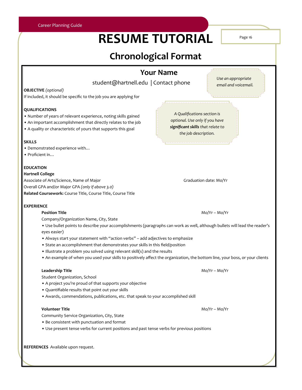**OBJECTIVE** *(optional)*

**QUALIFICATIONS**

• Proficient in…

**EDUCATION Hartnell College**

**SKILLS**

# RESUME TUTORIAL Page 16

## **Chronological Format**

## **Your Name**

student@hartnell.edu | Contact phone

*Use an appropriate email and voicemail.*

*A Qualifications section is optional. Use only if you have significant skills that relate to the job description.*

Associate of Arts/Science, Name of Major Graduation date: Mo/Yr

**EXPERIENCE**

#### **Position Title** Mo/Yr – Mo/Yr – Mo/Yr – Mo/Yr – Mo

• Demonstrated experience with…

Company/Organization Name, City, State

**Related Coursework:** Course Title, Course Title, Course Title

Overall GPA and/or Major GPA *(only if above 3.0)*

If included, it should be specific to the job you are applying for

• Number of years of relevant experience, noting skills gained • An important accomplishment that directly relates to the job • A quality or characteristic of yours that supports this goal

> • Use bullet points to describe your accomplishments (paragraphs can work as well, although bullets will lead the reader's eyes easier)

- Always start your statement with "action verbs" add adjectives to emphasize
- State an accomplishment that demonstrates your skills in this field/position
- Illustrate a problem you solved using relevant skill(s) and the results
- An example of when you used your skills to positively affect the organization, the bottom line, your boss, or your clients

#### **Leadership Title** Mo/Yr – Mo/Yr

Student Organization, School

- A project you're proud of that supports your objective
- Quantifiable results that point out your skills
- Awards, commendations, publications, etc. that speak to your accomplished skill

#### **Volunteer Title** Mo/Yr – Mo/Yr

Community Service Organization, City, State

- Be consistent with punctuation and format
- Use present tense verbs for current positions and past tense verbs for previous positions

**REFERENCES** Available upon request.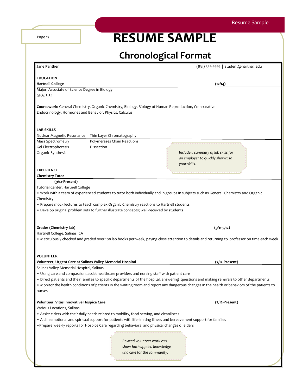Page 17 Resume Sample **RESUME SAMPLE Chronological Format Jane Panther** (831) 555-5555 | student@hartnell.edu **EDUCATION Hartnell College (12/14)** Major: Associate of Science Degree in Biology GPA: 3.54 **Coursework:** General Chemistry, Organic Chemistry, Biology, Biology of Human Reproduction, Comparative Endocrinology, Hormones and Behavior, Physics, Calculus **LAB SKILLS** Nuclear Magnetic Resonance Thin Layer Chromatography Mass Spectrometry Polymerases Chain Reactions Gel Electrophoresis **Dissection** Organic Synthesis **EXPERIENCE Chemistry Tutor (9/12-Present)** Tutorial Center, Hartnell College • Work with a team of experienced students to tutor both individually and in groups in subjects such as General Chemistry and Organic Chemistry • Prepare mock lectures to teach complex Organic Chemistry reactions to Hartnell students • Develop original problem sets to further illustrate concepts; well-received by students **Grader (Chemistry lab) (9/11-5/12)** Hartnell College, Salinas, CA • Meticulously checked and graded over 100 lab books per week, paying close attention to details and returning to professor on time each week **VOLUNTEER Volunteer, Urgent Care at Salinas Valley Memorial Hospital (7/12-Present)** Salinas Valley Memorial Hospital, Salinas • Using care and compassion, assist healthcare providers and nursing staff with patient care • Direct patients and their families to specific departments of the hospital, answering questions and making referrals to other departments • Monitor the health conditions of patients in the waiting room and report any dangerous changes in the health or behaviors of the patients to nurses **Volunteer, Vitas Innovative Hospice Care (7/12-Present)** *Include a summary of lab skills for an employer to quickly showcase your skills.*

Various Locations, Salinas

• Assist elders with their daily needs related to mobility, food-serving, and cleanliness

• Aid in emotional and spiritual support for patients with life-limiting illness and bereavement support for families

•Prepare weekly reports for Hospice Care regarding behavioral and physical changes of elders

*Related volunteer work can show both applied knowledge and care for the community.*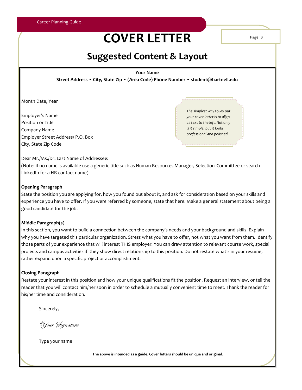# **COVER LETTER** Page 18

## **Suggested Content & Layout**

#### **Your Name**

**Street Address • City, State Zip • (Area Code) Phone Number • student@hartnell.edu**

Month Date, Year

Employer's Name Position or Title Company Name Employer Street Address/ P.O. Box City, State Zip Code

*The simplest way to lay out your cover letter is to align all text to the left. Not only is it simple, but it looks professional and polished.*

Dear Mr./Ms./Dr. Last Name of Addressee:

(Note: if no name is available use a generic title such as Human Resources Manager, Selection Committee or search LinkedIn for a HR contact name)

#### **Opening Paragraph**

State the position you are applying for, how you found out about it, and ask for consideration based on your skills and experience you have to offer. If you were referred by someone, state that here. Make a general statement about being a good candidate for the job.

#### **Middle Paragraph(s)**

In this section, you want to build a connection between the company's needs and your background and skills. Explain why you have targeted this particular organization. Stress what you have to offer, not what you want from them. Identify those parts of your experience that will interest THIS employer. You can draw attention to relevant course work, special projects and campus activities if they show direct relationship to this position. Do not restate what's in your resume, rather expand upon a specific project or accomplishment.

#### **Closing Paragraph**

Restate your interest in this position and how your unique qualifications fit the position. Request an interview, or tell the reader that you will contact him/her soon in order to schedule a mutually convenient time to meet. Thank the reader for his/her time and consideration.

Sincerely,

Your Signature

Type your name

**The above is intended as a guide. Cover letters should be unique and original.**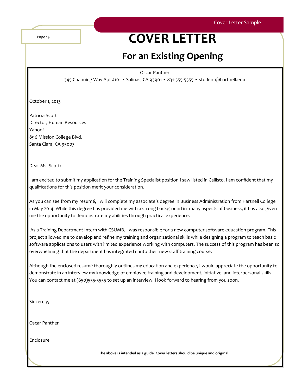Cover Letter Sample

Page 19

# **COVER LETTER**

# **For an Existing Opening**

Oscar Panther 345 Channing Way Apt #101 • Salinas, CA 93901 • 831-555-5555 • student@hartnell.edu

October 1, 2013

Patricia Scott Director, Human Resources Yahoo! 896 Mission College Blvd. Santa Clara, CA 95003

Dear Ms. Scott:

am excited to submit my application for the Training Specialist position I saw listed in Callisto. I am confident that my qualifications for this position merit your consideration.

As you can see from my resumé, I will complete my associate's degree in Business Administration from Hartnell College in May 2014. While this degree has provided me with a strong background in many aspects of business, it has also given me the opportunity to demonstrate my abilities through practical experience.

As a Training Department Intern with CSUMB, I was responsible for a new computer software education program. This project allowed me to develop and refine my training and organizational skills while designing a program to teach basic software applications to users with limited experience working with computers. The success of this program has been so overwhelming that the department has integrated it into their new staff training course.

Although the enclosed resumé thoroughly outlines my education and experience, I would appreciate the opportunity to demonstrate in an interview my knowledge of employee training and development, initiative, and interpersonal skills. You can contact me at (650)555-5555 to set up an interview. I look forward to hearing from you soon.

Sincerely,

Oscar Panther

Enclosure

**The above is intended as a guide. Cover letters should be unique and original.**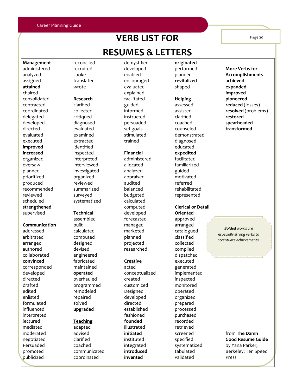# **VERB LIST FOR Page 20 RESUMES & LETTERS**

**Management** administered analyzed assigned **attained** chaired consolidated contracted coordinated delegated developed directed evaluated executed **improved increased** organized oversaw planned prioritized produced recommended reviewed scheduled **strengthened** supervised **Communication**

addressed arbitrated arranged authored collaborated **convinced** corresponded developed directed drafted edited enlisted formulated influenced interpreted lectured mediated moderated negotiated Persuaded promoted publicized

reconciled recruited spoke translated wrote

#### **Research**

clarified collected critiqued diagnosed evaluated examined extracted identified inspected interpreted interviewed investigated organized reviewed summarized surveyed systematized

#### **Technical**

assembled built calculated computed designed devised engineered fabricated maintained **operated** overhauled programmed remodeled repaired solved **upgraded**

#### **Teaching**

adapted advised clarified coached communicated coordinated

developed enabled encouraged evaluated explained facilitated guided informed instructed persuaded set goals stimulated trained

demystified

#### **Financial**

administered allocated analyzed appraised audited balanced budgeted calculated computed developed forecasted managed marketed planned projected researched

#### **Creative**

acted conceptualized created customized Designed developed directed established fashioned **founded** illustrated **initiated** instituted integrated **introduced invented**

**originated** performed planned **revitalized** shaped

#### **Helping**

assessed assisted clarified coached counseled demonstrated diagnosed educated **expedited** facilitated familiarized guided motivated referred rehabilitated represented

#### **Clerical or Detail Oriented**

approved arranged catalogued classified collected compiled dispatched executed generated implemented inspected monitored operated organized prepared processed purchased recorded retrieved screened specified systematized tabulated validated

**More Verbs for Accomplishments achieved expanded improved pioneered reduced** (losses) **resolved** (problems) **restored spearheaded transformed**

*Bolded words are especially strong verbs to accentuate achievements.*

> from **The Damn Good Resume Guide** by Yana Parker, Berkeley: Ten Speed Press